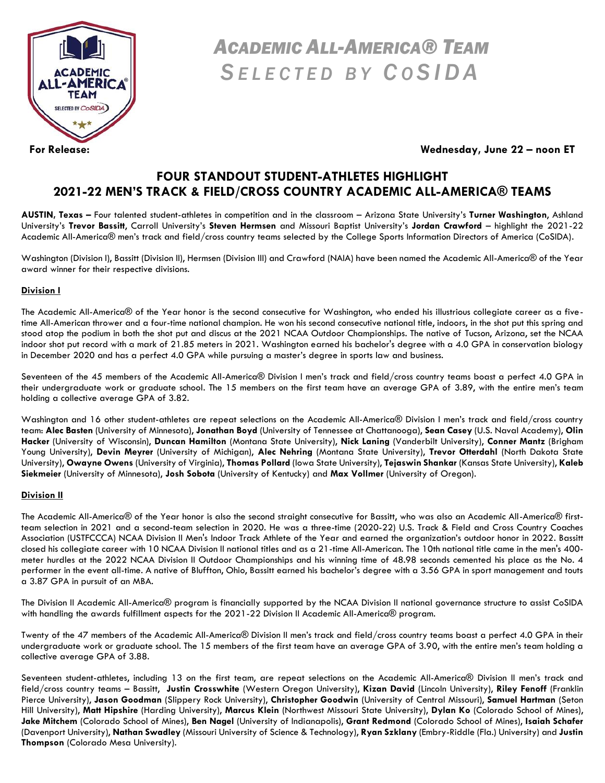

# *ACADEMIC ALL-AMERICA® TEAM S E L E C T E D B Y C O S I D A*

**For Release: Wednesday, June 22 – noon ET**

# **FOUR STANDOUT STUDENT-ATHLETES HIGHLIGHT 2021-22 MEN'S TRACK & FIELD/CROSS COUNTRY ACADEMIC ALL-AMERICA® TEAMS**

**AUSTIN, Texas –** Four talented student-athletes in competition and in the classroom – Arizona State University's **Turner Washington**, Ashland University's **Trevor Bassitt**, Carroll University's **Steven Hermsen** and Missouri Baptist University's **Jordan Crawford** – highlight the 2021-22 Academic All-America® men's track and field/cross country teams selected by the College Sports Information Directors of America (CoSIDA).

Washington (Division I), Bassitt (Division II), Hermsen (Division III) and Crawford (NAIA) have been named the Academic All-America® of the Year award winner for their respective divisions.

## **Division I**

The Academic All-America® of the Year honor is the second consecutive for Washington, who ended his illustrious collegiate career as a fivetime All-American thrower and a four-time national champion. He won his second consecutive national title, indoors, in the shot put this spring and stood atop the podium in both the shot put and discus at the 2021 NCAA Outdoor Championships. The native of Tucson, Arizona, set the NCAA indoor shot put record with a mark of 21.85 meters in 2021. Washington earned his bachelor's degree with a 4.0 GPA in conservation biology in December 2020 and has a perfect 4.0 GPA while pursuing a master's degree in sports law and business.

Seventeen of the 45 members of the Academic All-America® Division I men's track and field/cross country teams boast a perfect 4.0 GPA in their undergraduate work or graduate school. The 15 members on the first team have an average GPA of 3.89, with the entire men's team holding a collective average GPA of 3.82.

Washington and 16 other student-athletes are repeat selections on the Academic All-America® Division I men's track and field/cross country team: **Alec Basten** (University of Minnesota), **Jonathan Boyd** (University of Tennessee at Chattanooga), **Sean Casey** (U.S. Naval Academy), **Olin Hacker** (University of Wisconsin), **Duncan Hamilton** (Montana State University), **Nick Laning** (Vanderbilt University), **Conner Mantz** (Brigham Young University), **Devin Meyrer** (University of Michigan), **Alec Nehring** (Montana State University), **Trevor Otterdahl** (North Dakota State University), **Owayne Owens** (University of Virginia), **Thomas Pollard** (Iowa State University), **Tejaswin Shankar** (Kansas State University), **Kaleb Siekmeier** (University of Minnesota), **Josh Sobota** (University of Kentucky) and **Max Vollmer** (University of Oregon).

## **Division II**

The Academic All-America® of the Year honor is also the second straight consecutive for Bassitt, who was also an Academic All-America® firstteam selection in 2021 and a second-team selection in 2020. He was a three-time (2020-22) U.S. Track & Field and Cross Country Coaches Association (USTFCCCA) NCAA Division II Men's Indoor Track Athlete of the Year and earned the organization's outdoor honor in 2022. Bassitt closed his collegiate career with 10 NCAA Division II national titles and as a 21-time All-American. The 10th national title came in the men's 400 meter hurdles at the 2022 NCAA Division II Outdoor Championships and his winning time of 48.98 seconds cemented his place as the No. 4 performer in the event all-time. A native of Bluffton, Ohio, Bassitt earned his bachelor's degree with a 3.56 GPA in sport management and touts a 3.87 GPA in pursuit of an MBA.

The Division II Academic All-America® program is financially supported by the NCAA Division II national governance structure to assist CoSIDA with handling the awards fulfillment aspects for the 2021-22 Division II Academic All-America® program.

Twenty of the 47 members of the Academic All-America® Division II men's track and field/cross country teams boast a perfect 4.0 GPA in their undergraduate work or graduate school. The 15 members of the first team have an average GPA of 3.90, with the entire men's team holding a collective average GPA of 3.88.

Seventeen student-athletes, including 13 on the first team, are repeat selections on the Academic All-America® Division II men's track and field/cross country teams – Bassitt, **Justin Crosswhite** (Western Oregon University), **Kizan David** (Lincoln University), **Riley Fenoff** (Franklin Pierce University), **Jason Goodman** (Slippery Rock University), **Christopher Goodwin** (University of Central Missouri), **Samuel Hartman** (Seton Hill University), **Matt Hipshire** (Harding University), **Marcus Klein** (Northwest Missouri State University), **Dylan Ko** (Colorado School of Mines), **Jake Mitchem** (Colorado School of Mines), **Ben Nagel** (University of Indianapolis), **Grant Redmond** (Colorado School of Mines), **Isaiah Schafer**  (Davenport University), **Nathan Swadley** (Missouri University of Science & Technology), **Ryan Szklany** (Embry-Riddle (Fla.) University) and **Justin Thompson** (Colorado Mesa University).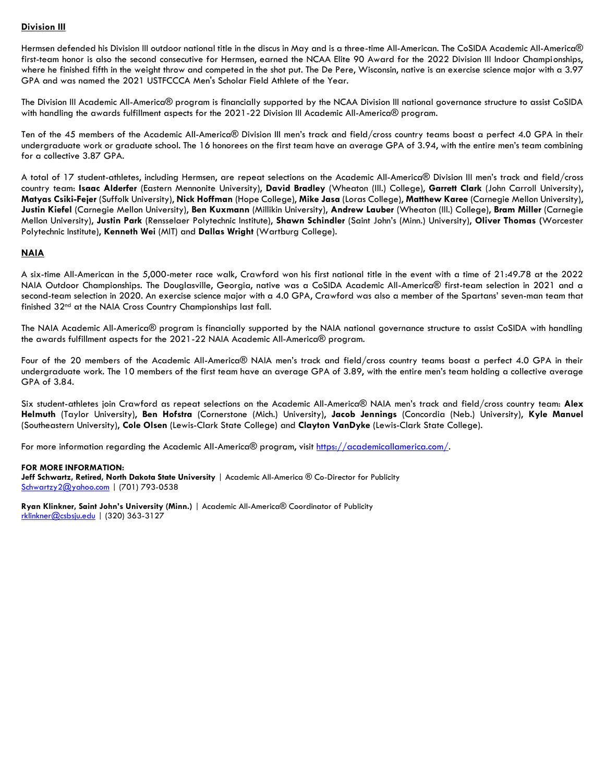### **Division III**

Hermsen defended his Division III outdoor national title in the discus in May and is a three-time All-American. The CoSIDA Academic All-America® first-team honor is also the second consecutive for Hermsen, earned the NCAA Elite 90 Award for the 2022 Division III Indoor Championships, where he finished fifth in the weight throw and competed in the shot put. The De Pere, Wisconsin, native is an exercise science major with a 3.97 GPA and was named the 2021 USTFCCCA Men's Scholar Field Athlete of the Year.

The Division III Academic All-America® program is financially supported by the NCAA Division III national governance structure to assist CoSIDA with handling the awards fulfillment aspects for the 2021-22 Division III Academic All-America® program.

Ten of the 45 members of the Academic All-America® Division III men's track and field/cross country teams boast a perfect 4.0 GPA in their undergraduate work or graduate school. The 16 honorees on the first team have an average GPA of 3.94, with the entire men's team combining for a collective 3.87 GPA.

A total of 17 student-athletes, including Hermsen, are repeat selections on the Academic All-America® Division III men's track and field/cross country team: **Isaac Alderfer** (Eastern Mennonite University), **David Bradley** (Wheaton (Ill.) College), **Garrett Clark** (John Carroll University), **Matyas Csiki-Fejer** (Suffolk University), **Nick Hoffman** (Hope College), **Mike Jasa** (Loras College), **Matthew Karee** (Carnegie Mellon University), **Justin Kiefel** (Carnegie Mellon University), **Ben Kuxmann** (Millikin University), **Andrew Lauber** (Wheaton (Ill.) College), **Bram Miller** (Carnegie Mellon University), **Justin Park** (Rensselaer Polytechnic Institute), **Shawn Schindler** (Saint John's (Minn.) University), **Oliver Thomas (**Worcester Polytechnic Institute), **Kenneth Wei** (MIT) and **Dallas Wright** (Wartburg College).

## **NAIA**

A six-time All-American in the 5,000-meter race walk, Crawford won his first national title in the event with a time of 21:49.78 at the 2022 NAIA Outdoor Championships. The Douglasville, Georgia, native was a CoSIDA Academic All-America® first-team selection in 2021 and a second-team selection in 2020. An exercise science major with a 4.0 GPA, Crawford was also a member of the Spartans' seven-man team that finished 32nd at the NAIA Cross Country Championships last fall.

The NAIA Academic All-America® program is financially supported by the NAIA national governance structure to assist CoSIDA with handling the awards fulfillment aspects for the 2021-22 NAIA Academic All-America® program.

Four of the 20 members of the Academic All-America® NAIA men's track and field/cross country teams boast a perfect 4.0 GPA in their undergraduate work. The 10 members of the first team have an average GPA of 3.89, with the entire men's team holding a collective average GPA of 3.84.

Six student-athletes join Crawford as repeat selections on the Academic All-America® NAIA men's track and field/cross country team: **Alex Helmuth** (Taylor University), **Ben Hofstra** (Cornerstone (Mich.) University), **Jacob Jennings** (Concordia (Neb.) University), **Kyle Manuel**  (Southeastern University), **Cole Olsen** (Lewis-Clark State College) and **Clayton VanDyke** (Lewis-Clark State College).

For more information regarding the Academic All-America® program, visit [https://academicallamerica.com/.](https://academicallamerica.com/)

### **FOR MORE INFORMATION:**

**Jeff Schwartz, Retired, North Dakota State University** | Academic All-America ® Co-Director for Publicity [Schwartzy2@yahoo.com](mailto:Schwartzy2@yahoo.com) | (701) 793-0538

**Ryan Klinkner, Saint John's University (Minn.)** | Academic All-America® Coordinator of Publicity [rklinkner@csbsju.edu](mailto:rklinkner@csbsju.edu) | (320) 363-3127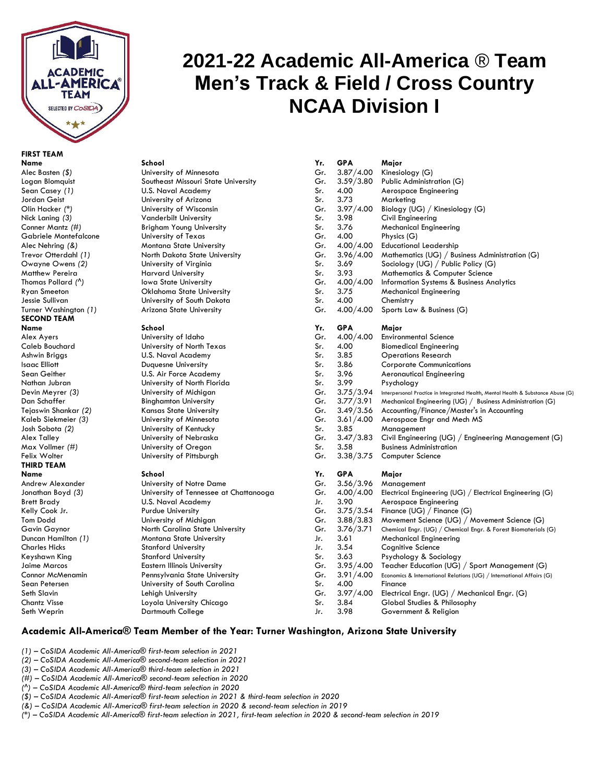

# **2021-22 Academic All-America** ® **Team Men's Track & Field / Cross Country NCAA Division I**

# **FIRST TEAM**

# Logan Blomquist Southeast Missouri State University **University of Wisconsin** Conner Mantz (#) **Brigham Young University** Alec Nehring (&) Montana State University Trevor Otterdahl *(1)* North Dakota State University<br>Owayne Owens *(2)* University of Virginia **University of Virginia Iowa State University** Ryan Smeeton **Oklahoma State University**

Andrew Alexander **University of Notre Dame** Jonathan Boyd (3) University of Tennessee at Chattanooga Tom Dodd University of Michigan Gavin Gaynor North Carolina State University<br>1.76.71 Duncan Hamilton (1) Chemical Engr. 2.76.71 Montana State University **Montana State University** Stanford University Jaime Marcos **Eastern Illinois University** Connor McMenamin Pennsylvania State University Sean Petersen **University of South Carolina** Chantz Visse Loyola University Chicago Sr. 3.84 Global Studies & Philosophy

| FIRST TEAM                           |                                        |              |             |                                                                                 |  |  |
|--------------------------------------|----------------------------------------|--------------|-------------|---------------------------------------------------------------------------------|--|--|
| Name                                 | School                                 | Yr.          | <b>GPA</b>  | Major                                                                           |  |  |
| Alec Basten (\$)                     | University of Minnesota                | Gr.          | 3.87/4.00   | Kinesiology (G)                                                                 |  |  |
| Logan Blomquist                      | Southeast Missouri State University    | Gr.          | 3.59/3.80   | Public Administration (G)                                                       |  |  |
| Sean Casey (1)                       | U.S. Naval Academy                     | Sr.          | 4.00        | Aerospace Engineering                                                           |  |  |
| Jordan Geist                         | University of Arizona                  | Sr.          | 3.73        | Marketing                                                                       |  |  |
| Olin Hacker <i>(</i> *)              | University of Wisconsin                | Gr.          | 3.97/4.00   | Biology (UG) / Kinesiology (G)                                                  |  |  |
| Nick Laning (3)                      | <b>Vanderbilt University</b>           | Sr.          | 3.98        | Civil Engineering                                                               |  |  |
| Conner Mantz <i>(</i> #)             | <b>Brigham Young University</b>        | Sr.          | 3.76        | <b>Mechanical Engineering</b>                                                   |  |  |
| Gabriele Montefalcone                | University of Texas                    | Gr.          | 4.00        | Physics (G)                                                                     |  |  |
| Alec Nehring (&)                     | <b>Montana State University</b>        | Gr.          | 4.00/4.00   | <b>Educational Leadership</b>                                                   |  |  |
| Trevor Otterdahl (1)                 | North Dakota State University          | Gr.          | 3.96/4.00   | Mathematics (UG) / Business Administration (G)                                  |  |  |
| Owayne Owens (2)                     | University of Virginia                 | Sr.          | 3.69        | Sociology (UG) / Public Policy (G)                                              |  |  |
| Matthew Pereira                      | <b>Harvard University</b>              | Sr.          | 3.93        | <b>Mathematics &amp; Computer Science</b>                                       |  |  |
| Thomas Pollard (^)                   | <b>Iowa State University</b>           | Gr.          | 4.00/4.00   | Information Systems & Business Analytics                                        |  |  |
| Ryan Smeeton                         | Oklahoma State University              | Sr.          | 3.75        | <b>Mechanical Engineering</b>                                                   |  |  |
| Jessie Sullivan                      | University of South Dakota             | Sr.          | 4.00        | Chemistry                                                                       |  |  |
| Turner Washington (1)                | Arizona State University               | Gr.          | 4.00/4.00   | Sports Law & Business (G)                                                       |  |  |
| <b>SECOND TEAM</b>                   |                                        |              |             |                                                                                 |  |  |
| Name                                 | School                                 | Yr.          | <b>GPA</b>  | Major                                                                           |  |  |
| Alex Ayers                           | University of Idaho                    | Gr.          | 4.00/4.00   | <b>Environmental Science</b>                                                    |  |  |
| Caleb Bouchard                       | University of North Texas              | Sr.          | 4.00        | <b>Biomedical Engineering</b>                                                   |  |  |
| Ashwin Briggs                        | U.S. Naval Academy                     | Sr.          | 3.85        | <b>Operations Research</b>                                                      |  |  |
| Isaac Elliott                        | Duquesne University                    | Sr.          | 3.86        | <b>Corporate Communications</b>                                                 |  |  |
| Sean Geither                         | U.S. Air Force Academy                 | Sr.          | 3.96        | Aeronautical Engineering                                                        |  |  |
| Nathan Jubran                        | University of North Florida            | Sr.          | 3.99        | Psychology                                                                      |  |  |
| Devin Meyrer (3)                     | University of Michigan                 | Gr.          | 3.75/3.94   | Interpersonal Practice in Integrated Health, Mental Health & Substance Abuse (G |  |  |
| Dan Schaffer                         | <b>Binghamton University</b>           | Gr.          | 3.77/3.91   | Mechanical Engineering (UG) / Business Administration (G)                       |  |  |
| Tejaswin Shankar (2)                 | Kansas State University                | Gr.          | 3.49/3.56   | Accounting/Finance/Master's in Accounting                                       |  |  |
| Kaleb Siekmeier (3)                  | University of Minnesota                | Gr.          | 3.61/4.00   | Aerospace Engr and Mech MS                                                      |  |  |
| Josh Sobota (2)                      | University of Kentucky                 | Sr.          | 3.85        | Management                                                                      |  |  |
| Alex Talley                          | University of Nebraska                 | Gr.          | 3.47/3.83   | Civil Engineering (UG) / Engineering Management (G)                             |  |  |
| Max Vollmer (#)                      | University of Oregon                   | Sr.          | 3.58        | <b>Business Administration</b>                                                  |  |  |
| Felix Wolter                         | University of Pittsburgh               | Gr.          | 3.38/3.75   | Computer Science                                                                |  |  |
| THIRD TEAM                           |                                        |              |             |                                                                                 |  |  |
| Name                                 | School                                 | Yr.          | <b>GPA</b>  | Major                                                                           |  |  |
| Andrew Alexander                     | University of Notre Dame               | Gr.          | 3.56/3.96   | Management                                                                      |  |  |
| Jonathan Boyd (3)                    | University of Tennessee at Chattanooga | Gr.          | 4.00/4.00   | Electrical Engineering (UG) / Electrical Engineering (G)                        |  |  |
| Brett Brady                          | U.S. Naval Academy                     | Jr.          | 3.90        | Aerospace Engineering                                                           |  |  |
| Kelly Cook Jr.                       | <b>Purdue University</b>               | Gr.          | 3.75/3.54   | Finance (UG) / Finance (G)                                                      |  |  |
| Tom Dodd                             | University of Michigan                 | Gr.          | 3.88/3.83   | Movement Science (UG) / Movement Science (G)                                    |  |  |
| Gavin Gaynor                         | North Carolina State University        | Gr.          | 3.76 / 3.71 | Chemical Engr. (UG) / Chemical Engr. & Forest Biomaterials (G)                  |  |  |
| Duncan Hamilton (1)                  | <b>Montana State University</b>        | Jr.          | 3.61        | <b>Mechanical Engineering</b>                                                   |  |  |
| Charles Hicks                        | <b>Stanford University</b>             | Jr.          | 3.54        | Cognitive Science                                                               |  |  |
| Keyshawn King                        | <b>Stanford University</b>             | Sr.          | 3.63        | Psychology & Sociology                                                          |  |  |
| Jaime Marcos                         | <b>Eastern Illinois University</b>     | Gr.          | 3.95/4.00   | Teacher Education (UG) / Sport Management (G)                                   |  |  |
| Connor McMenamin                     | Pennsylvania State University          | Gr.          | 3.91/4.00   | Economics & International Relations (UG) / International Affairs (G)            |  |  |
| Sean Petersen                        | University of South Carolina           | Sr.          | 4.00        | Finance                                                                         |  |  |
| Seth Slavin                          | Lehigh University                      | Gr.          | 3.97/4.00   | Electrical Engr. (UG) / Mechanical Engr. (G)                                    |  |  |
| $C_{\text{heat}}$ $M_{\text{total}}$ | Landa Hatiaaster Chianna               | $\mathbf{C}$ | 201         | Clabel Chiefred O. Dhilaaankii                                                  |  |  |

Jr. 3.98 Government & Religion

# **Academic All-America® Team Member of the Year: Turner Washington, Arizona State University**

*(1) – CoSIDA Academic All-America® first-team selection in 2021*

- *(2) – CoSIDA Academic All-America® second-team selection in 2021*
- *(3) – CoSIDA Academic All-America® third-team selection in 2021*
- *(#) – CoSIDA Academic All-America® second-team selection in 2020*
- *(^) – CoSIDA Academic All-America® third-team selection in 2020*
- *(\$) – CoSIDA Academic All-America® first-team selection in 2021 & third-team selection in 2020*
- *(&) – CoSIDA Academic All-America® first-team selection in 2020 & second-team selection in 2019*
- *(\*) – CoSIDA Academic All-America® first-team selection in 2021, first-team selection in 2020 & second-team selection in 2019*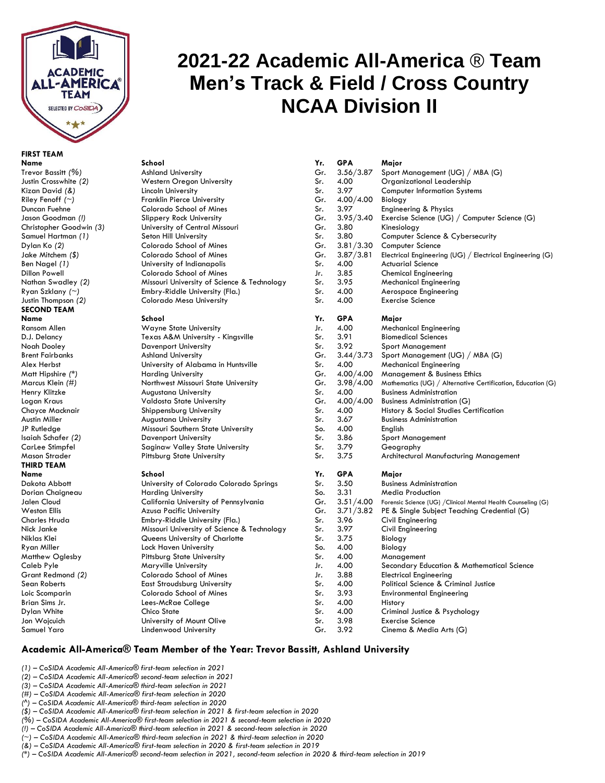

# **FIRST TEAM**

# **2021-22 Academic All-America** ® **Team Men's Track & Field / Cross Country NCAA Division II**

| FIRST TEAM                |                                             |     |             |                                                               |
|---------------------------|---------------------------------------------|-----|-------------|---------------------------------------------------------------|
| Name                      | School                                      | Yr. | <b>GPA</b>  | Major                                                         |
| Trevor Bassitt (%)        | <b>Ashland University</b>                   | Gr. | 3.56/3.87   | Sport Management (UG) / MBA (G)                               |
| Justin Crosswhite (2)     | Western Oregon University                   | Sr. | 4.00        | Organizational Leadership                                     |
| Kizan David (&)           | Lincoln University                          | Sr. | 3.97        | <b>Computer Information Systems</b>                           |
| Riley Fenoff $(\sim)$     | <b>Franklin Pierce University</b>           | Gr. | 4.00/4.00   | Biology                                                       |
| Duncan Fuehne             | Colorado School of Mines                    | Sr. | 3.97        | Engineering & Physics                                         |
| Jason Goodman (!)         | <b>Slippery Rock University</b>             | Gr. | 3.95/3.40   | Exercise Science (UG) / Computer Science (G)                  |
| Christopher Goodwin (3)   | University of Central Missouri              | Gr. | 3.80        | Kinesiology                                                   |
| Samuel Hartman (1)        | Seton Hill University                       | Sr. | 3.80        | Computer Science & Cybersecurity                              |
| Dylan Ko (2)              | Colorado School of Mines                    | Gr. | 3.81 / 3.30 | Computer Science                                              |
| Jake Mitchem (\$)         | Colorado School of Mines                    | Gr. | 3.87/3.81   | Electrical Engineering (UG) / Electrical Engineering (G)      |
| Ben Nagel (1)             | University of Indianapolis                  | Sr. | 4.00        | <b>Actuarial Science</b>                                      |
| Dillon Powell             | Colorado School of Mines                    | Jr. | 3.85        | <b>Chemical Engineering</b>                                   |
| Nathan Swadley (2)        | Missouri University of Science & Technology | Sr. | 3.95        | <b>Mechanical Engineering</b>                                 |
| Ryan Szklany <i>(</i> ~)  | Embry-Riddle University (Fla.)              | Sr. | 4.00        | Aerospace Engineering                                         |
| Justin Thompson (2)       | Colorado Mesa University                    | Sr. | 4.00        | <b>Exercise Science</b>                                       |
| SECOND TEAM               |                                             |     |             |                                                               |
| Name                      | School                                      | Yr. | <b>GPA</b>  | Major                                                         |
| Ransom Allen              | <b>Wayne State University</b>               | Jr. | 4.00        | <b>Mechanical Engineering</b>                                 |
| D.J. Delancy              | Texas A&M University - Kingsville           | Sr. | 3.91        | <b>Biomedical Sciences</b>                                    |
| Noah Dooley               | <b>Davenport University</b>                 | Sr. | 3.92        | <b>Sport Management</b>                                       |
| <b>Brent Fairbanks</b>    | <b>Ashland University</b>                   | Gr. | 3.44/3.73   | Sport Management (UG) / MBA (G)                               |
| Alex Herbst               | University of Alabama in Huntsville         | Sr. | 4.00        | <b>Mechanical Engineering</b>                                 |
| Matt Hipshire <i>(</i> *) | <b>Harding University</b>                   | Gr. | 4.00/4.00   | Management & Business Ethics                                  |
| Marcus Klein (#)          | Northwest Missouri State University         | Gr. | 3.98/4.00   | Mathematics (UG) / Alternative Certification, Education (G)   |
| Henry Klitzke             | <b>Augustana University</b>                 | Sr. | 4.00        | <b>Business Administration</b>                                |
| Logan Kraus               | Valdosta State University                   | Gr. | 4.00/4.00   | <b>Business Administration (G)</b>                            |
| Chayce Macknair           | Shippensburg University                     | Sr. | 4.00        | History & Social Studies Certification                        |
| Austin Miller             | <b>Augustana University</b>                 | Sr. | 3.67        | <b>Business Administration</b>                                |
| JP Rutledge               | Missouri Southern State University          | So. | 4.00        | English                                                       |
| Isaiah Schafer (2)        | <b>Davenport University</b>                 | Sr. | 3.86        | <b>Sport Management</b>                                       |
| CarLee Stimpfel           | <b>Saginaw Valley State University</b>      | Sr. | 3.79        | Geography                                                     |
| Mason Strader             | <b>Pittsburg State University</b>           | Sr. | 3.75        | Architectural Manufacturing Management                        |
| THIRD TEAM                |                                             |     |             |                                                               |
| Name                      | School                                      | Yr. | <b>GPA</b>  | Major                                                         |
| Dakota Abbott             | University of Colorado Colorado Springs     | Sr. | 3.50        | <b>Business Administration</b>                                |
| Dorian Chaigneau          | <b>Harding University</b>                   | So. | 3.31        | <b>Media Production</b>                                       |
| Jalen Cloud               | California University of Pennsylvania       | Gr. | 3.51/4.00   | Forensic Science (UG) / Clinical Mental Health Counseling (G) |
| Weston Ellis              | Azusa Pacific University                    | Gr. | 3.71/3.82   | PE & Single Subject Teaching Credential (G)                   |
| Charles Hruda             | Embry-Riddle University (Fla.)              | Sr. | 3.96        | Civil Engineering                                             |
| Nick Janke                | Missouri University of Science & Technology | Sr. | 3.97        | Civil Engineering                                             |
| Niklas Klei               | Queens University of Charlotte              | Sr. | 3.75        | Biology                                                       |
| Ryan Miller               | Lock Haven University                       | So. | 4.00        | Biology                                                       |
| Matthew Oglesby           | <b>Pittsburg State University</b>           | Sr. | 4.00        | Management                                                    |
| Caleb Pyle                | <b>Maryville University</b>                 | Jr. | 4.00        | Secondary Education & Mathematical Science                    |
| Grant Redmond (2)         | Colorado School of Mines                    | Jr. | 3.88        | <b>Electrical Engineering</b>                                 |
| Sean Roberts              | <b>East Stroudsburg University</b>          | Sr. | 4.00        | Political Science & Criminal Justice                          |
| Loic Scomparin            | Colorado School of Mines                    | Sr. | 3.93        | <b>Environmental Engineering</b>                              |
| Brian Sims Jr.            | Lees-McRae College                          | Sr. | 4.00        | History                                                       |
| Dylan White               | Chico State                                 | Sr. | 4.00        | Criminal Justice & Psychology                                 |
| Jon Wojcuich              | University of Mount Olive                   | Sr. | 3.98        | <b>Exercise Science</b>                                       |
|                           |                                             |     |             | $\sim$                                                        |

## **Academic All-America® Team Member of the Year: Trevor Bassitt, Ashland University**

*(1) – CoSIDA Academic All-America® first-team selection in 2021*

- *(2) – CoSIDA Academic All-America® second-team selection in 2021*
- *(3) – CoSIDA Academic All-America® third-team selection in 2021*
- *(#) – CoSIDA Academic All-America® first-team selection in 2020*
- *(^) – CoSIDA Academic All-America® third-team selection in 2020*
- *(\$) – CoSIDA Academic All-America® first-team selection in 2021 & first-team selection in 2020*
- *(%) – CoSIDA Academic All-America® first-team selection in 2021 & second-team selection in 2020*
- *(!) – CoSIDA Academic All-America® third-team selection in 2021 & second-team selection in 2020*
- *(~) – CoSIDA Academic All-America® third-team selection in 2021 & third-team selection in 2020 (&) – CoSIDA Academic All-America® first-team selection in 2020 & first-team selection in 2019*
- *(\*) – CoSIDA Academic All-America® second-team selection in 2021, second-team selection in 2020 & third-team selection in 2019*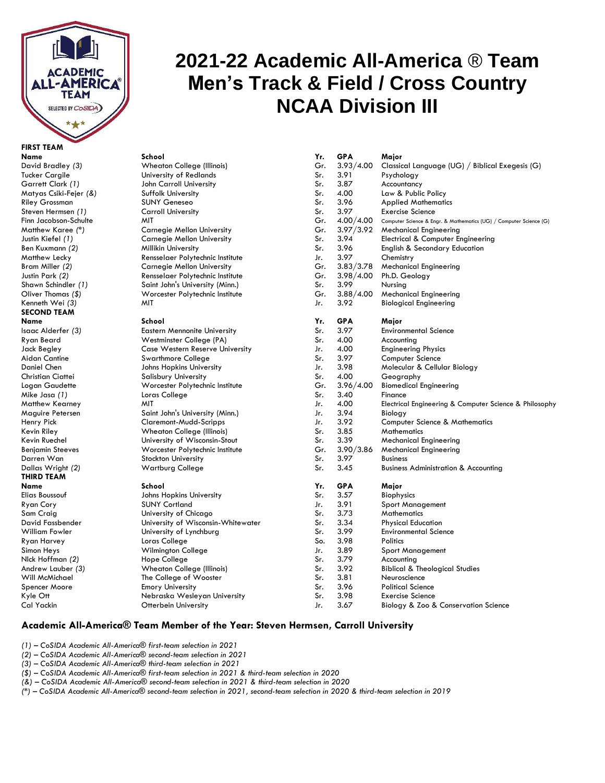

# **FIRST TEAM**

# Darren Wan Stockton University Sr. 3.97 Business **THIRD TEAM**

# **2021-22 Academic All-America** ® **Team Men's Track & Field / Cross Country NCAA Division III**

| Davia braaiey (3)         | vvnedron College (Illinois)         | Gr. | 3.93/4.00   | Classical Language         |
|---------------------------|-------------------------------------|-----|-------------|----------------------------|
| Tucker Cargile            | University of Redlands              | Sr. | 3.91        | Psychology                 |
| Garrett Clark (1)         | John Carroll University             | Sr. | 3.87        | Accountancy                |
| Matyas Csiki-Fejer (&)    | Suffolk University                  | Sr. | 4.00        | Law & Public Policy        |
| Riley Grossman            | <b>SUNY Geneseo</b>                 | Sr. | 3.96        | <b>Applied Mathemati</b>   |
| Steven Hermsen (1)        | <b>Carroll University</b>           | Sr. | 3.97        | <b>Exercise Science</b>    |
| Finn Jacobson-Schulte     | <b>MIT</b>                          | Gr. | 4.00/4.00   | Computer Science & Engr. & |
| Matthew Karee <i>(</i> *) | <b>Carnegie Mellon University</b>   | Gr. | 3.97/3.92   | <b>Mechanical Enginee</b>  |
| Justin Kiefel (1)         | <b>Carnegie Mellon University</b>   | Sr. | 3.94        | Electrical & Comput        |
| Ben Kuxmann (2)           | Millikin University                 | Sr. | 3.96        | English & Secondar         |
| Matthew Lecky             | Rensselaer Polytechnic Institute    | Jr. | 3.97        | Chemistry                  |
| Bram Miller (2)           | <b>Carnegie Mellon University</b>   | Gr. | 3.83/3.78   | <b>Mechanical Enginee</b>  |
| Justin Park (2)           | Rensselaer Polytechnic Institute    | Gr. | 3.98/4.00   | Ph.D. Geology              |
| Shawn Schindler (1)       | Saint John's University (Minn.)     | Sr. | 3.99        | Nursing                    |
| Oliver Thomas (\$)        | Worcester Polytechnic Institute     | Gr. | 3.88 / 4.00 | <b>Mechanical Enginee</b>  |
| Kenneth Wei (3)           | MIT                                 | Jr. | 3.92        | <b>Biological Engineer</b> |
| SECOND TEAM               |                                     |     |             |                            |
| Name                      | School                              | Yr. | <b>GPA</b>  | Major                      |
| Isaac Alderfer (3)        | <b>Eastern Mennonite University</b> | Sr. | 3.97        | <b>Environmental Scier</b> |
| Ryan Beard                | Westminster College (PA)            | Sr. | 4.00        | Accounting                 |
| Jack Begley               | Case Western Reserve University     | Jr. | 4.00        | <b>Engineering Physics</b> |
| Aidan Cantine             | Swarthmore College                  | Sr. | 3.97        | Computer Science           |
| Daniel Chen               | Johns Hopkins University            | Jr. | 3.98        | Molecular & Celluk         |
| Christian Ciattei         | <b>Salisbury University</b>         | Sr. | 4.00        | Geography                  |
| Logan Gaudette            | Worcester Polytechnic Institute     | Gr. | 3.96/4.00   | <b>Biomedical Enginee</b>  |
| Mike Jasa (1)             | Loras College                       | Sr. | 3.40        | Finance                    |
|                           |                                     |     |             |                            |

| <b>FIRST TEAM</b>       |                                     |     |            |                                                                    |  |
|-------------------------|-------------------------------------|-----|------------|--------------------------------------------------------------------|--|
| Name                    | School                              | Yr. | <b>GPA</b> | Major                                                              |  |
| David Bradley (3)       | <b>Wheaton College (Illinois)</b>   | Gr. | 3.93/4.00  | Classical Language (UG) / Biblical Exegesis (G)                    |  |
| <b>Tucker Cargile</b>   | University of Redlands              | Sr. | 3.91       | Psychology                                                         |  |
| Garrett Clark (1)       | John Carroll University             | Sr. | 3.87       | Accountancy                                                        |  |
| Matyas Csiki-Fejer (&)  | Suffolk University                  | Sr. | 4.00       | Law & Public Policy                                                |  |
| Riley Grossman          | <b>SUNY Geneseo</b>                 | Sr. | 3.96       | <b>Applied Mathematics</b>                                         |  |
| Steven Hermsen (1)      | <b>Carroll University</b>           | Sr. | 3.97       | <b>Exercise Science</b>                                            |  |
| Finn Jacobson-Schulte   | <b>MIT</b>                          | Gr. | 4.00/4.00  | Computer Science & Engr. & Mathematics (UG) / Computer Science (G) |  |
| Matthew Karee (*)       | Carnegie Mellon University          | Gr. | 3.97/3.92  | <b>Mechanical Engineering</b>                                      |  |
| Justin Kiefel (1)       | Carnegie Mellon University          | Sr. | 3.94       | Electrical & Computer Engineering                                  |  |
| Ben Kuxmann (2)         | Millikin University                 | Sr. | 3.96       | <b>English &amp; Secondary Education</b>                           |  |
| Matthew Lecky           | Rensselaer Polytechnic Institute    | Jr. | 3.97       | Chemistry                                                          |  |
| Bram Miller (2)         | Carnegie Mellon University          | Gr. | 3.83/3.78  | <b>Mechanical Engineering</b>                                      |  |
| Justin Park (2)         | Rensselaer Polytechnic Institute    | Gr. | 3.98/4.00  | Ph.D. Geology                                                      |  |
| Shawn Schindler (1)     | Saint John's University (Minn.)     | Sr. | 3.99       | Nursing                                                            |  |
| Oliver Thomas (\$)      | Worcester Polytechnic Institute     | Gr. | 3.88/4.00  | <b>Mechanical Engineering</b>                                      |  |
| Kenneth Wei (3)         | MIT                                 | Jr. | 3.92       | <b>Biological Engineering</b>                                      |  |
| <b>SECOND TEAM</b>      |                                     |     |            |                                                                    |  |
| Name                    | School                              | Yr. | <b>GPA</b> | Major                                                              |  |
| Isaac Alderfer (3)      | <b>Eastern Mennonite University</b> | Sr. | 3.97       | <b>Environmental Science</b>                                       |  |
| Ryan Beard              | Westminster College (PA)            | Sr. | 4.00       | Accounting                                                         |  |
| Jack Begley             | Case Western Reserve University     | Jr. | 4.00       | <b>Engineering Physics</b>                                         |  |
| Aidan Cantine           | Swarthmore College                  | Sr. | 3.97       | Computer Science                                                   |  |
| Daniel Chen             | Johns Hopkins University            | Jr. | 3.98       | Molecular & Cellular Biology                                       |  |
| Christian Ciattei       | Salisbury University                | Sr. | 4.00       | Geography                                                          |  |
| Logan Gaudette          | Worcester Polytechnic Institute     | Gr. | 3.96/4.00  | <b>Biomedical Engineering</b>                                      |  |
| Mike Jasa (1)           | Loras College                       | Sr. | 3.40       | Finance                                                            |  |
| Matthew Kearney         | MIT                                 | Jr. | 4.00       | Electrical Engineering & Computer Science & Philosophy             |  |
| Maguire Petersen        | Saint John's University (Minn.)     | Jr. | 3.94       | Biology                                                            |  |
| Henry Pick              | Claremont-Mudd-Scripps              | Jr. | 3.92       | <b>Computer Science &amp; Mathematics</b>                          |  |
| Kevin Riley             | <b>Wheaton College (Illinois)</b>   | Sr. | 3.85       | Mathematics                                                        |  |
| Kevin Ruechel           | University of Wisconsin-Stout       | Sr. | 3.39       | <b>Mechanical Engineering</b>                                      |  |
| <b>Benjamin Steeves</b> | Worcester Polytechnic Institute     | Gr. | 3.90/3.86  | <b>Mechanical Engineering</b>                                      |  |
| Darren Wan              | Stockton University                 | Sr. | 3.97       | <b>Business</b>                                                    |  |
| Dallas Wright (2)       | <b>Wartburg College</b>             | Sr. | 3.45       | <b>Business Administration &amp; Accounting</b>                    |  |
| <b>THIRD TEAM</b>       |                                     |     |            |                                                                    |  |
| Name                    | School                              | Yr. | <b>GPA</b> | Major                                                              |  |
| Elias Boussouf          | Johns Hopkins University            | Sr. | 3.57       | <b>Biophysics</b>                                                  |  |
| Ryan Cory               | <b>SUNY Cortland</b>                | Jr. | 3.91       | <b>Sport Management</b>                                            |  |
| Sam Craig               | University of Chicago               | Sr. | 3.73       | Mathematics                                                        |  |
| David Fassbender        | University of Wisconsin-Whitewater  | Sr. | 3.34       | <b>Physical Education</b>                                          |  |
| William Fowler          | University of Lynchburg             | Sr. | 3.99       | <b>Environmental Science</b>                                       |  |
| Ryan Harvey             | Loras College                       | So. | 3.98       | <b>Politics</b>                                                    |  |
| Simon Heys              | Wilmington College                  | Jr. | 3.89       | <b>Sport Management</b>                                            |  |
| Nick Hoffman (2)        | Hope College                        | Sr. | 3.79       | Accounting                                                         |  |
| Andrew Lauber (3)       | <b>Wheaton College (Illinois)</b>   | Sr. | 3.92       | <b>Biblical &amp; Theological Studies</b>                          |  |
| Will McMichael          | The College of Wooster              | Sr. | 3.81       | Neuroscience                                                       |  |
| Spencer Moore           | <b>Emory University</b>             | Sr. | 3.96       | <b>Political Science</b>                                           |  |
| Kyle Ott                | Nebraska Wesleyan University        | Sr. | 3.98       | <b>Exercise Science</b>                                            |  |
| Cal Yackin              | Otterbein University                | Jr. | 3.67       | Biology & Zoo & Conservation Science                               |  |

## **Academic All-America® Team Member of the Year: Steven Hermsen, Carroll University**

- *(1) – CoSIDA Academic All-America® first-team selection in 2021*
- *(2) – CoSIDA Academic All-America® second-team selection in 2021*
- *(3) – CoSIDA Academic All-America® third-team selection in 2021*
- *(\$) – CoSIDA Academic All-America® first-team selection in 2021 & third-team selection in 2020*
- *(&) – CoSIDA Academic All-America® second-team selection in 2021 & third-team selection in 2020*
- *(\*) – CoSIDA Academic All-America® second-team selection in 2021, second-team selection in 2020 & third-team selection in 2019*